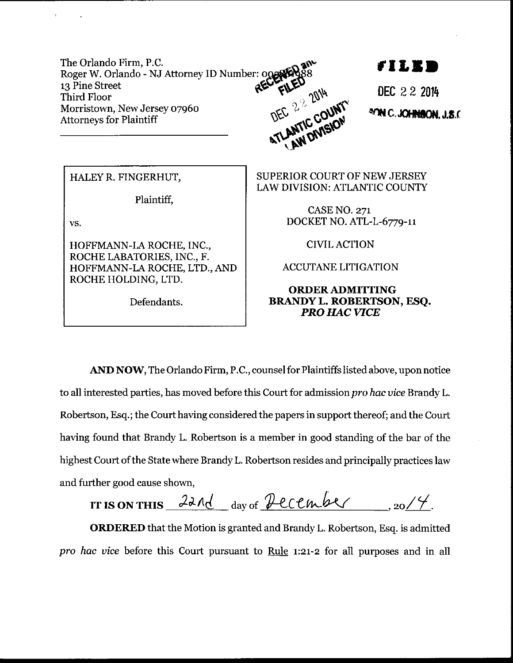The Orlando Firm, P.C. Roger W. Orlando - NJ Attorney ID Number: 008 13 Pine Street DEC 22 2014 EL ENTIC COUNTY **Third Floor** Morristown, New Jersey 07960 **Attorneys for Plaintiff** 

TI IS S

DEC 22 2014 **ATM C.JOHNBON, J.S.C** 

HALEY R. FINGERHUT,

Plaintiff,

VS.

HOFFMANN-LA ROCHE, INC., ROCHE LABATORIES, INC., F. HOFFMANN-LA ROCHE, LTD., AND ROCHE HOLDING, LTD.

Defendants.

**SUPERIOR COURT OF NEW JERSEY** LAW DIVISION: ATLANTIC COUNTY

> **CASE NO. 271** DOCKET NO. ATL-L-6779-11

> > **CIVIL ACTION**

**ACCUTANE LITIGATION** 

## **ORDER ADMITTING BRANDY L. ROBERTSON, ESQ. PRO HAC VICE**

AND NOW, The Orlando Firm, P.C., counsel for Plaintiffs listed above, upon notice to all interested parties, has moved before this Court for admission pro hac vice Brandy L. Robertson, Esq.; the Court having considered the papers in support thereof; and the Court having found that Brandy L. Robertson is a member in good standing of the bar of the highest Court of the State where Brandy L. Robertson resides and principally practices law and further good cause shown,

IT IS ON THIS  $22Ad$  day of Pecember 20/4.

**ORDERED** that the Motion is granted and Brandy L. Robertson, Esq. is admitted pro hac vice before this Court pursuant to Rule 1:21-2 for all purposes and in all